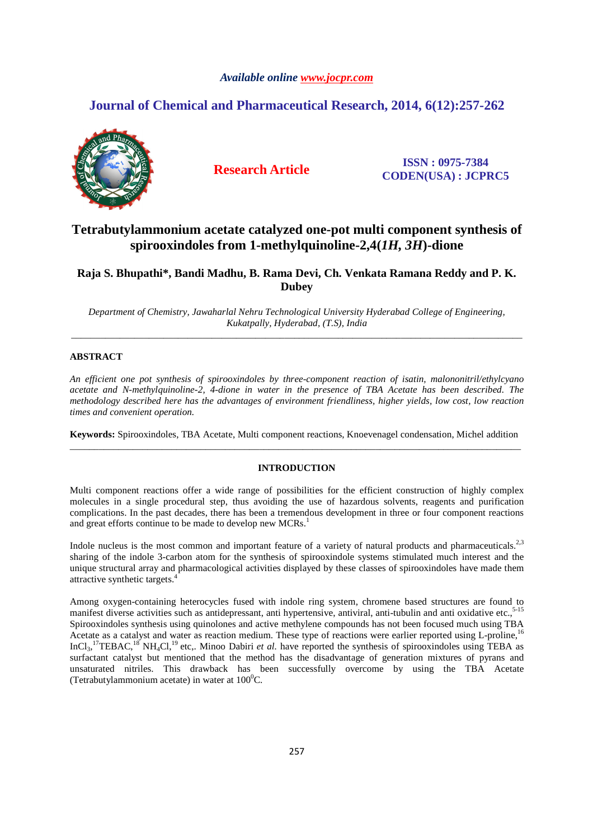## *Available online www.jocpr.com*

## **Journal of Chemical and Pharmaceutical Research, 2014, 6(12):257-262**



**Research Article ISSN : 0975-7384 CODEN(USA) : JCPRC5**

## **Tetrabutylammonium acetate catalyzed one-pot multi component synthesis of spirooxindoles from 1-methylquinoline-2,4(***1H, 3H***)-dione**

## **Raja S. Bhupathi\*, Bandi Madhu, B. Rama Devi, Ch. Venkata Ramana Reddy and P. K. Dubey**

*Department of Chemistry, Jawaharlal Nehru Technological University Hyderabad College of Engineering, Kukatpally, Hyderabad, (T.S), India*  \_\_\_\_\_\_\_\_\_\_\_\_\_\_\_\_\_\_\_\_\_\_\_\_\_\_\_\_\_\_\_\_\_\_\_\_\_\_\_\_\_\_\_\_\_\_\_\_\_\_\_\_\_\_\_\_\_\_\_\_\_\_\_\_\_\_\_\_\_\_\_\_\_\_\_\_\_\_\_\_\_\_\_\_\_\_\_\_\_\_\_\_\_

## **ABSTRACT**

*An efficient one pot synthesis of spirooxindoles by three-component reaction of isatin, malononitril/ethylcyano acetate and N-methylquinoline-2, 4-dione in water in the presence of TBA Acetate has been described. The methodology described here has the advantages of environment friendliness, higher yields, low cost, low reaction times and convenient operation.* 

**Keywords:** Spirooxindoles, TBA Acetate, Multi component reactions, Knoevenagel condensation, Michel addition \_\_\_\_\_\_\_\_\_\_\_\_\_\_\_\_\_\_\_\_\_\_\_\_\_\_\_\_\_\_\_\_\_\_\_\_\_\_\_\_\_\_\_\_\_\_\_\_\_\_\_\_\_\_\_\_\_\_\_\_\_\_\_\_\_\_\_\_\_\_\_\_\_\_\_\_\_\_\_\_\_\_\_\_\_\_\_\_\_\_\_\_\_

## **INTRODUCTION**

Multi component reactions offer a wide range of possibilities for the efficient construction of highly complex molecules in a single procedural step, thus avoiding the use of hazardous solvents, reagents and purification complications. In the past decades, there has been a tremendous development in three or four component reactions and great efforts continue to be made to develop new MCRs.<sup>1</sup>

Indole nucleus is the most common and important feature of a variety of natural products and pharmaceuticals.<sup>2,3</sup> sharing of the indole 3-carbon atom for the synthesis of spirooxindole systems stimulated much interest and the unique structural array and pharmacological activities displayed by these classes of spirooxindoles have made them attractive synthetic targets.<sup>4</sup>

Among oxygen-containing heterocycles fused with indole ring system, chromene based structures are found to manifest diverse activities such as antidepressant, anti hypertensive, antiviral, anti-tubulin and anti oxidative etc.,<sup>5-15</sup> Spirooxindoles synthesis using quinolones and active methylene compounds has not been focused much using TBA Acetate as a catalyst and water as reaction medium. These type of reactions were earlier reported using L-proline,<sup>16</sup> InCl<sub>3</sub>,<sup>17</sup>TEBAC,<sup>18</sup> NH<sub>4</sub>Cl,<sup>19</sup> etc,. Minoo Dabiri *et al.* have reported the synthesis of spirooxindoles using TEBA as surfactant catalyst but mentioned that the method has the disadvantage of generation mixtures of pyrans and unsaturated nitriles. This drawback has been successfully overcome by using the TBA Acetate (Tetrabutylammonium acetate) in water at  $100^0C$ .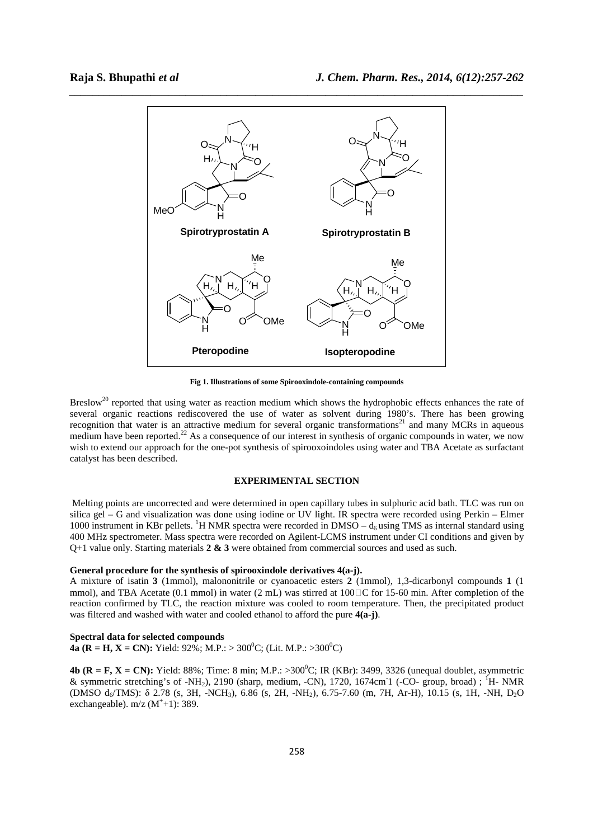

**Fig 1. Illustrations of some Spirooxindole-containing compounds** 

Breslow<sup>20</sup> reported that using water as reaction medium which shows the hydrophobic effects enhances the rate of several organic reactions rediscovered the use of water as solvent during 1980's. There has been growing recognition that water is an attractive medium for several organic transformations<sup>21</sup> and many MCRs in aqueous medium have been reported.<sup>22</sup> As a consequence of our interest in synthesis of organic compounds in water, we now wish to extend our approach for the one-pot synthesis of spirooxoindoles using water and TBA Acetate as surfactant catalyst has been described.

#### **EXPERIMENTAL SECTION**

 Melting points are uncorrected and were determined in open capillary tubes in sulphuric acid bath. TLC was run on silica gel – G and visualization was done using iodine or UV light. IR spectra were recorded using Perkin – Elmer 1000 instrument in KBr pellets. <sup>1</sup>H NMR spectra were recorded in DMSO –  $d_6$  using TMS as internal standard using 400 MHz spectrometer. Mass spectra were recorded on Agilent-LCMS instrument under CI conditions and given by Q+1 value only. Starting materials **2 & 3** were obtained from commercial sources and used as such.

#### **General procedure for the synthesis of spirooxindole derivatives 4(a-j).**

A mixture of isatin **3** (1mmol), malononitrile or cyanoacetic esters **2** (1mmol), 1,3-dicarbonyl compounds **1** (1 mmol), and TBA Acetate (0.1 mmol) in water (2 mL) was stirred at  $100\Box$ C for 15-60 min. After completion of the reaction confirmed by TLC, the reaction mixture was cooled to room temperature. Then, the precipitated product was filtered and washed with water and cooled ethanol to afford the pure **4(a-j)**.

#### **Spectral data for selected compounds**

**4a (R = H, X = CN):** Yield:  $92\%$ ; M.P.: >  $300^0$ C; (Lit. M.P.: >  $300^0$ C)

**4b (R = F, X = CN):** Yield: 88%; Time: 8 min; M.P.:  $>300^{\circ}$ C; IR (KBr): 3499, 3326 (unequal doublet, asymmetric & symmetric stretching's of -NH<sub>2</sub>), 2190 (sharp, medium, -CN), 1720, 1674cm<sup>-</sup>1 (-CO- group, broad); <sup>1</sup>H- NMR (DMSO d<sub>6</sub>/TMS): δ 2.78 (s, 3H, -NCH<sub>3</sub>), 6.86 (s, 2H, -NH<sub>2</sub>), 6.75-7.60 (m, 7H, Ar-H), 10.15 (s, 1H, -NH, D<sub>2</sub>O exchangeable).  $m/z$  ( $M^+$ +1): 389.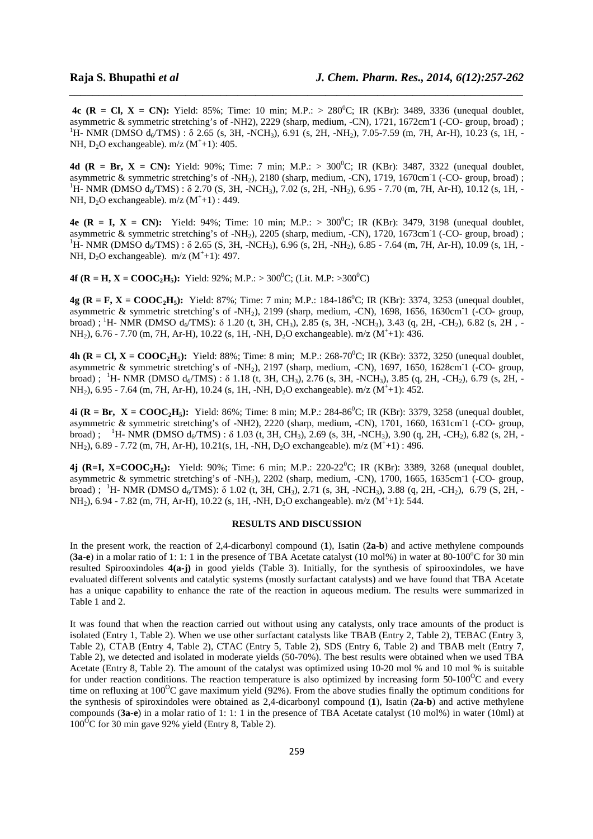**4c (R = Cl, X = CN):** Yield: 85%; Time: 10 min; M.P.: > 280<sup>0</sup>C; IR (KBr): 3489, 3336 (unequal doublet, asymmetric & symmetric stretching's of -NH2), 2229 (sharp, medium, -CN), 1721, 1672cm<sup>-</sup>1 (-CO- group, broad) ;  $^{1}$ H- NMR (DMSO d<sub>6</sub>/TMS) : δ 2.65 (s, 3H, -NCH<sub>3</sub>), 6.91 (s, 2H, -NH<sub>2</sub>), 7.05-7.59 (m, 7H, Ar-H), 10.23 (s, 1H, -NH,  $D_2O$  exchangeable).  $m/z$  ( $M^+$ +1): 405.

*\_\_\_\_\_\_\_\_\_\_\_\_\_\_\_\_\_\_\_\_\_\_\_\_\_\_\_\_\_\_\_\_\_\_\_\_\_\_\_\_\_\_\_\_\_\_\_\_\_\_\_\_\_\_\_\_\_\_\_\_\_\_\_\_\_\_\_\_\_\_\_\_\_\_\_\_\_\_*

**4d (R = Br, X = CN):** Yield: 90%; Time: 7 min; M.P.:  $> 300^{\circ}$ C; IR (KBr): 3487, 3322 (unequal doublet, asymmetric & symmetric stretching's of -NH<sub>2</sub>), 2180 (sharp, medium, -CN), 1719, 1670cm<sup>-</sup>1 (-CO- group, broad) ; <sup>1</sup>H- NMR (DMSO  $d_6/TMS$ ) :  $\delta$  2.70 (S, 3H, -NCH<sub>3</sub>), 7.02 (s, 2H, -NH<sub>2</sub>), 6.95 - 7.70 (m, 7H, Ar-H), 10.12 (s, 1H, -NH,  $D_2O$  exchangeable).  $m/z (M^+ + 1)$ : 449.

**4e (R = I, X = CN):** Yield: 94%; Time: 10 min; M.P.: > 300<sup>o</sup>C; IR (KBr): 3479, 3198 (unequal doublet, asymmetric & symmetric stretching's of -NH<sub>2</sub>), 2205 (sharp, medium, -CN), 1720, 1673cm<sup>-</sup>1 (-CO- group, broad) ; <sup>1</sup>H- NMR (DMSO  $d_6$ /TMS) : δ 2.65 (S, 3H, -NCH<sub>3</sub>), 6.96 (s, 2H, -NH<sub>2</sub>), 6.85 - 7.64 (m, 7H, Ar-H), 10.09 (s, 1H, -NH,  $D_2O$  exchangeable).  $m/z$  ( $M^+$ +1): 497.

**4f (R = H, X = COOC<sub>2</sub>H**<sub>5</sub>): Yield: 92%; M.P.: > 300<sup>°</sup>C; (Lit. M.P: >300<sup>°</sup>C)

**4g (R = F, X = COOC<sub>2</sub>H**<sub>5</sub>): Yield: 87%; Time: 7 min; M.P.: 184-186<sup>o</sup>C; IR (KBr): 3374, 3253 (unequal doublet, asymmetric & symmetric stretching's of -NH<sub>2</sub>), 2199 (sharp, medium, -CN), 1698, 1656, 1630cm<sup>-1</sup> (-CO- group, broad) ;<sup>1</sup>H- NMR (DMSO  $d_6$ /TMS):  $\delta$  1.20 (t, 3H, CH<sub>3</sub>), 2.85 (s, 3H, -NCH<sub>3</sub>), 3.43 (q, 2H, -CH<sub>2</sub>), 6.82 (s, 2H, -NH<sub>2</sub>), 6.76 - 7.70 (m, 7H, Ar-H), 10.22 (s, 1H, -NH, D<sub>2</sub>O exchangeable). m/z (M<sup>+</sup>+1): 436.

**4h (R = Cl, X = COOC<sub>2</sub>H**<sub>5</sub>): Yield: 88%; Time: 8 min; M.P.: 268-70<sup>o</sup>C; IR (KBr): 3372, 3250 (unequal doublet, asymmetric & symmetric stretching's of -NH<sub>2</sub>), 2197 (sharp, medium, -CN), 1697, 1650, 1628cm<sup>-1</sup> (-CO- group, broad) ; <sup>1</sup>H- NMR (DMSO  $d_6/TMS$ ) : δ 1.18 (t, 3H, CH<sub>3</sub>), 2.76 (s, 3H, -NCH<sub>3</sub>), 3.85 (q, 2H, -CH<sub>2</sub>), 6.79 (s, 2H, -NH<sub>2</sub>), 6.95 - 7.64 (m, 7H, Ar-H), 10.24 (s, 1H, -NH, D<sub>2</sub>O exchangeable). m/z (M<sup>+</sup>+1): 452.

**4i (R = Br,**  $X = COOC_2H_5$ **): Yield: 86%; Time: 8 min; M.P.: 284-86<sup>o</sup>C; IR (KBr): 3379, 3258 (unequal doublet,** asymmetric & symmetric stretching's of -NH2), 2220 (sharp, medium, -CN), 1701, 1660, 1631cm<sup>-1</sup> (-CO- group, broad) ; <sup>1</sup>H- NMR (DMSO  $d_6/TMS$ ) : δ 1.03 (t, 3H, CH<sub>3</sub>), 2.69 (s, 3H, -NCH<sub>3</sub>), 3.90 (q, 2H, -CH<sub>2</sub>), 6.82 (s, 2H, -NH<sub>2</sub>), 6.89 - 7.72 (m, 7H, Ar-H), 10.21(s, 1H, -NH, D<sub>2</sub>O exchangeable). m/z (M<sup>+</sup>+1): 496.

**4j (R=I, X=COOC2H5):** Yield: 90%; Time: 6 min; M.P.: 220-22<sup>0</sup>C; IR (KBr): 3389, 3268 (unequal doublet, asymmetric & symmetric stretching's of -NH<sub>2</sub>), 2202 (sharp, medium, -CN), 1700, 1665, 1635cm<sup>-1</sup> (-CO- group, broad) ; <sup>1</sup>H- NMR (DMSO  $d_6/TM\overline{S}$ ):  $\delta$  1.02 (t, 3H, CH<sub>3</sub>), 2.71 (s, 3H, -NCH<sub>3</sub>), 3.88 (q, 2H, -CH<sub>2</sub>), 6.79 (S, 2H, -NH<sub>2</sub>), 6.94 - 7.82 (m, 7H, Ar-H), 10.22 (s, 1H, -NH, D<sub>2</sub>O exchangeable). m/z (M<sup>+</sup>+1): 544.

## **RESULTS AND DISCUSSION**

In the present work, the reaction of 2,4-dicarbonyl compound (**1**), Isatin (**2a-b**) and active methylene compounds  $(3a-e)$  in a molar ratio of 1: 1: 1 in the presence of TBA Acetate catalyst (10 mol%) in water at 80-100°C for 30 min resulted Spirooxindoles **4(a-j)** in good yields (Table 3). Initially, for the synthesis of spirooxindoles, we have evaluated different solvents and catalytic systems (mostly surfactant catalysts) and we have found that TBA Acetate has a unique capability to enhance the rate of the reaction in aqueous medium. The results were summarized in Table 1 and 2.

It was found that when the reaction carried out without using any catalysts, only trace amounts of the product is isolated (Entry 1, Table 2). When we use other surfactant catalysts like TBAB (Entry 2, Table 2), TEBAC (Entry 3, Table 2), CTAB (Entry 4, Table 2), CTAC (Entry 5, Table 2), SDS (Entry 6, Table 2) and TBAB melt (Entry 7, Table 2), we detected and isolated in moderate yields (50-70%). The best results were obtained when we used TBA Acetate (Entry 8, Table 2). The amount of the catalyst was optimized using 10-20 mol % and 10 mol % is suitable for under reaction conditions. The reaction temperature is also optimized by increasing form  $50{\text{-}100}^{\text{O}}C$  and every time on refluxing at  $100^{\circ}$ C gave maximum yield (92%). From the above studies finally the optimum conditions for the synthesis of spiroxindoles were obtained as 2,4-dicarbonyl compound (**1**), Isatin (**2a-b**) and active methylene compounds (**3a-e**) in a molar ratio of 1: 1: 1 in the presence of TBA Acetate catalyst (10 mol%) in water (10ml) at  $100^{\circ}$ C for 30 min gave 92% yield (Entry 8, Table 2).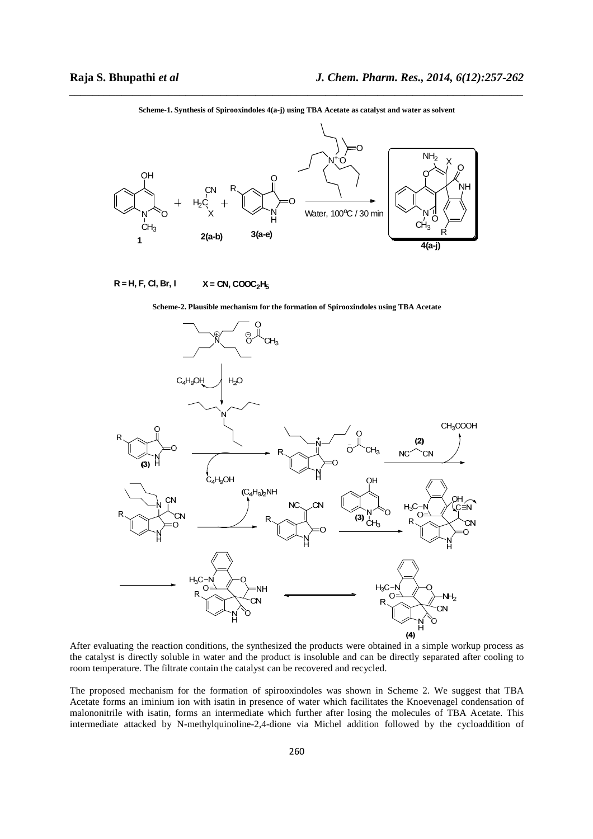

*\_\_\_\_\_\_\_\_\_\_\_\_\_\_\_\_\_\_\_\_\_\_\_\_\_\_\_\_\_\_\_\_\_\_\_\_\_\_\_\_\_\_\_\_\_\_\_\_\_\_\_\_\_\_\_\_\_\_\_\_\_\_\_\_\_\_\_\_\_\_\_\_\_\_\_\_\_\_* **Scheme-1. Synthesis of Spirooxindoles 4(a-j) using TBA Acetate as catalyst and water as solvent** 

**R = H, F, Cl, Br, I**  $X = CN$ ,  $COOC<sub>2</sub>H<sub>5</sub>$ 





After evaluating the reaction conditions, the synthesized the products were obtained in a simple workup process as the catalyst is directly soluble in water and the product is insoluble and can be directly separated after cooling to room temperature. The filtrate contain the catalyst can be recovered and recycled.

The proposed mechanism for the formation of spirooxindoles was shown in Scheme 2. We suggest that TBA Acetate forms an iminium ion with isatin in presence of water which facilitates the Knoevenagel condensation of malononitrile with isatin, forms an intermediate which further after losing the molecules of TBA Acetate. This intermediate attacked by N-methylquinoline-2,4-dione via Michel addition followed by the cycloaddition of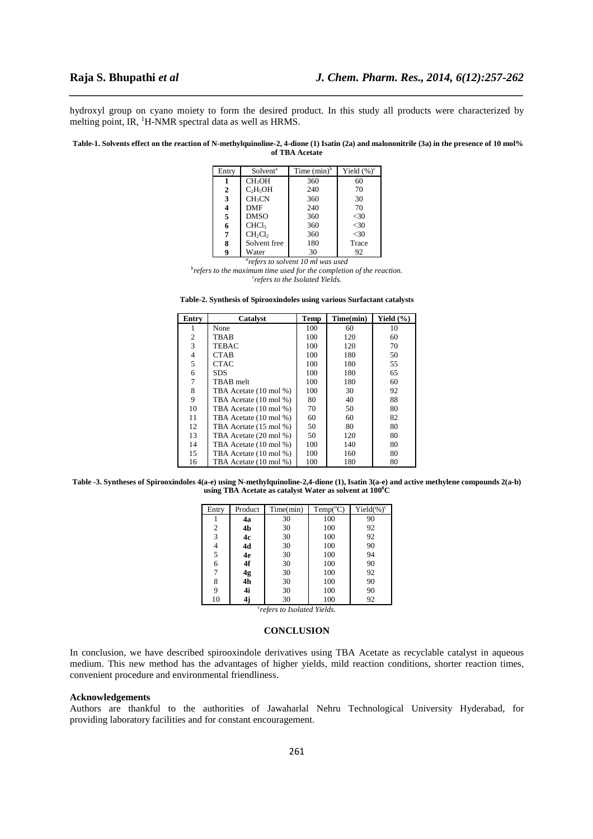hydroxyl group on cyano moiety to form the desired product. In this study all products were characterized by melting point, IR, <sup>1</sup>H-NMR spectral data as well as HRMS.

*\_\_\_\_\_\_\_\_\_\_\_\_\_\_\_\_\_\_\_\_\_\_\_\_\_\_\_\_\_\_\_\_\_\_\_\_\_\_\_\_\_\_\_\_\_\_\_\_\_\_\_\_\_\_\_\_\_\_\_\_\_\_\_\_\_\_\_\_\_\_\_\_\_\_\_\_\_\_*

**Table-1. Solvents effect on the reaction of N-methylquinoline-2, 4-dione (1) Isatin (2a) and malononitrile (3a) in the presence of 10 mol% of TBA Acetate** 

| Entry | Solvent <sup>a</sup>            | Time $(min)^b$ | Yield $(\%)^c$ |
|-------|---------------------------------|----------------|----------------|
|       | CH <sub>3</sub> OH              | 360            | 60             |
| 2     | $C_2H_5OH$                      | 240            | 70             |
| 3     | CH <sub>3</sub> CN              | 360            | 30             |
| 4     | DMF                             | 240            | 70             |
| 5     | <b>DMSO</b>                     | 360            | $<$ 30         |
| 6     | <b>CHCl<sub>3</sub></b>         | 360            | $<$ 30         |
| 7     | CH <sub>2</sub> Cl <sub>2</sub> | 360            | <30            |
| 8     | Solvent free                    | 180            | Trace          |
| 9     | Water                           | 30             | 92             |

*a refers to solvent 10 ml was used* 

*b refers to the maximum time used for the completion of the reaction. c refers to the Isolated Yields.* 

**Table-2. Synthesis of Spirooxindoles using various Surfactant catalysts** 

| Entry          | <b>Catalyst</b>        | <b>Temp</b> | Time(min) | Yield $(\% )$ |
|----------------|------------------------|-------------|-----------|---------------|
| 1              | None                   | 100         | 60        | 10            |
| $\overline{2}$ | TBAB                   | 100         | 120       | 60            |
| 3              | TEBAC                  | 100         | 120       | 70            |
| $\overline{4}$ | CTAB                   | 100         | 180       | 50            |
| 5              | CTAC                   | 100         | 180       | 55            |
| 6              | SDS                    | 100         | 180       | 65            |
| 7              | TBAB melt              | 100         | 180       | 60            |
| 8              | TBA Acetate (10 mol %) | 100         | 30        | 92            |
| 9              | TBA Acetate (10 mol %) | 80          | 40        | 88            |
| 10             | TBA Acetate (10 mol %) | 70          | 50        | 80            |
| 11             | TBA Acetate (10 mol %) | 60          | 60        | 82            |
| 12             | TBA Acetate (15 mol %) | 50          | 80        | 80            |
| 13             | TBA Acetate (20 mol %) | 50          | 120       | 80            |
| 14             | TBA Acetate (10 mol %) | 100         | 140       | 80            |
| 15             | TBA Acetate (10 mol %) | 100         | 160       | 80            |
| 16             | TBA Acetate (10 mol %) | 100         | 180       | 80            |

**Table -3. Syntheses of Spirooxindoles 4(a-e) using N-methylquinoline-2,4-dione (1), Isatin 3(a-e) and active methylene compounds 2(a-b) using TBA Acetate as catalyst Water as solvent at 100<sup>0</sup>C** 

| Entry          | Product                                 | Time(min) | Temp(C) | Yield $(\%)^c$ |  |  |  |
|----------------|-----------------------------------------|-----------|---------|----------------|--|--|--|
|                | 4a                                      | 30        | 100     | 90             |  |  |  |
| $\overline{2}$ | 4b                                      | 30        | 100     | 92             |  |  |  |
| 3              | 4c                                      | 30        | 100     | 92             |  |  |  |
| 4              | 4d                                      | 30        | 100     | 90             |  |  |  |
| 5              | 4e                                      | 30        | 100     | 94             |  |  |  |
| 6              | 4f                                      | 30        | 100     | 90             |  |  |  |
| 7              | 4g                                      | 30        | 100     | 92             |  |  |  |
| 8              | 4 <sub>h</sub>                          | 30        | 100     | 90             |  |  |  |
| 9              | 4i                                      | 30        | 100     | 90             |  |  |  |
| 10             | 4j                                      | 30        | 100     | 92             |  |  |  |
|                | <sup>c</sup> refers to Isolated Yields. |           |         |                |  |  |  |

**CONCLUSION** 

In conclusion, we have described spirooxindole derivatives using TBA Acetate as recyclable catalyst in aqueous medium. This new method has the advantages of higher yields, mild reaction conditions, shorter reaction times, convenient procedure and environmental friendliness.

#### **Acknowledgements**

Authors are thankful to the authorities of Jawaharlal Nehru Technological University Hyderabad, for providing laboratory facilities and for constant encouragement.